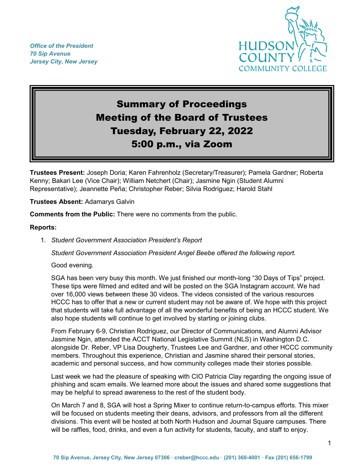*Office of the President 70 Sip Avenue Jersey City, New Jersey*



# Summary of Proceedings Meeting of the Board of Trustees Tuesday, February 22, 2022 5:00 p.m., via Zoom

**Trustees Present:** Joseph Doria; Karen Fahrenholz (Secretary/Treasurer); Pamela Gardner; Roberta Kenny; Bakari Lee (Vice Chair); William Netchert (Chair); Jasmine Ngin (Student Alumni Representative); Jeannette Peña; Christopher Reber; Silvia Rodriguez; Harold Stahl

**Trustees Absent:** Adamarys Galvin

**Comments from the Public:** There were no comments from the public.

#### **Reports:**

1. *Student Government Association President's Report*

*Student Government Association President Angel Beebe offered the following report.*

Good evening.

SGA has been very busy this month. We just finished our month-long "30 Days of Tips" project. These tips were filmed and edited and will be posted on the SGA Instagram account. We had over 16,000 views between these 30 videos. The videos consisted of the various resources HCCC has to offer that a new or current student may not be aware of. We hope with this project that students will take full advantage of all the wonderful benefits of being an HCCC student. We also hope students will continue to get involved by starting or joining clubs.

From February 6-9, Christian Rodriguez, our Director of Communications, and Alumni Advisor Jasmine Ngin, attended the ACCT National Legislative Summit (NLS) in Washington D.C. alongside Dr. Reber, VP Lisa Dougherty, Trustees Lee and Gardner, and other HCCC community members. Throughout this experience, Christian and Jasmine shared their personal stories, academic and personal success, and how community colleges made their stories possible.

Last week we had the pleasure of speaking with CIO Patricia Clay regarding the ongoing issue of phishing and scam emails. We learned more about the issues and shared some suggestions that may be helpful to spread awareness to the rest of the student body.

On March 7 and 8, SGA will host a Spring Mixer to continue return-to-campus efforts. This mixer will be focused on students meeting their deans, advisors, and professors from all the different divisions. This event will be hosted at both North Hudson and Journal Square campuses. There will be raffles, food, drinks, and even a fun activity for students, faculty, and staff to enjoy.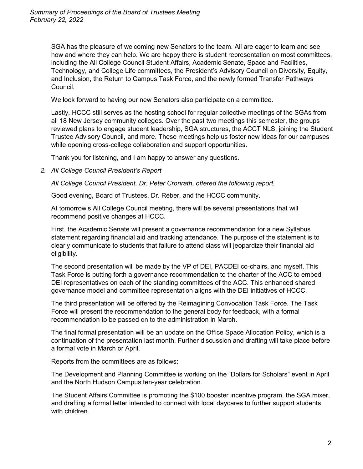SGA has the pleasure of welcoming new Senators to the team. All are eager to learn and see how and where they can help. We are happy there is student representation on most committees, including the All College Council Student Affairs, Academic Senate, Space and Facilities, Technology, and College Life committees, the President's Advisory Council on Diversity, Equity, and Inclusion, the Return to Campus Task Force, and the newly formed Transfer Pathways Council.

We look forward to having our new Senators also participate on a committee.

Lastly, HCCC still serves as the hosting school for regular collective meetings of the SGAs from all 18 New Jersey community colleges. Over the past two meetings this semester, the groups reviewed plans to engage student leadership, SGA structures, the ACCT NLS, joining the Student Trustee Advisory Council, and more. These meetings help us foster new ideas for our campuses while opening cross-college collaboration and support opportunities.

Thank you for listening, and I am happy to answer any questions.

*2. All College Council President's Report*

*All College Council President, Dr. Peter Cronrath, offered the following report.*

Good evening, Board of Trustees, Dr. Reber, and the HCCC community.

At tomorrow's All College Council meeting, there will be several presentations that will recommend positive changes at HCCC.

First, the Academic Senate will present a governance recommendation for a new Syllabus statement regarding financial aid and tracking attendance. The purpose of the statement is to clearly communicate to students that failure to attend class will jeopardize their financial aid eligibility.

The second presentation will be made by the VP of DEI, PACDEI co-chairs, and myself. This Task Force is putting forth a governance recommendation to the charter of the ACC to embed DEI representatives on each of the standing committees of the ACC. This enhanced shared governance model and committee representation aligns with the DEI initiatives of HCCC.

The third presentation will be offered by the Reimagining Convocation Task Force. The Task Force will present the recommendation to the general body for feedback, with a formal recommendation to be passed on to the administration in March.

The final formal presentation will be an update on the Office Space Allocation Policy, which is a continuation of the presentation last month. Further discussion and drafting will take place before a formal vote in March or April.

Reports from the committees are as follows:

The Development and Planning Committee is working on the "Dollars for Scholars" event in April and the North Hudson Campus ten-year celebration.

The Student Affairs Committee is promoting the \$100 booster incentive program, the SGA mixer, and drafting a formal letter intended to connect with local daycares to further support students with children.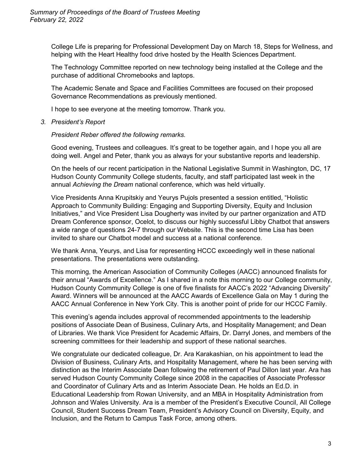College Life is preparing for Professional Development Day on March 18, Steps for Wellness, and helping with the Heart Healthy food drive hosted by the Health Sciences Department.

The Technology Committee reported on new technology being installed at the College and the purchase of additional Chromebooks and laptops.

The Academic Senate and Space and Facilities Committees are focused on their proposed Governance Recommendations as previously mentioned.

I hope to see everyone at the meeting tomorrow. Thank you.

*3. President's Report*

*President Reber offered the following remarks.*

Good evening, Trustees and colleagues. It's great to be together again, and I hope you all are doing well. Angel and Peter, thank you as always for your substantive reports and leadership.

On the heels of our recent participation in the National Legislative Summit in Washington, DC, 17 Hudson County Community College students, faculty, and staff participated last week in the annual *Achieving the Dream* national conference, which was held virtually.

Vice Presidents Anna Krupitskiy and Yeurys Pujols presented a session entitled, "Holistic Approach to Community Building: Engaging and Supporting Diversity, Equity and Inclusion Initiatives," and Vice President Lisa Dougherty was invited by our partner organization and ATD Dream Conference sponsor, Ocelot, to discuss our highly successful Libby Chatbot that answers a wide range of questions 24-7 through our Website. This is the second time Lisa has been invited to share our Chatbot model and success at a national conference.

We thank Anna, Yeurys, and Lisa for representing HCCC exceedingly well in these national presentations. The presentations were outstanding.

This morning, the American Association of Community Colleges (AACC) announced finalists for their annual "Awards of Excellence." As I shared in a note this morning to our College community, Hudson County Community College is one of five finalists for AACC's 2022 "Advancing Diversity" Award. Winners will be announced at the AACC Awards of Excellence Gala on May 1 during the AACC Annual Conference in New York City. This is another point of pride for our HCCC Family.

This evening's agenda includes approval of recommended appointments to the leadership positions of Associate Dean of Business, Culinary Arts, and Hospitality Management; and Dean of Libraries. We thank Vice President for Academic Affairs, Dr. Darryl Jones, and members of the screening committees for their leadership and support of these national searches.

We congratulate our dedicated colleague, Dr. Ara Karakashian, on his appointment to lead the Division of Business, Culinary Arts, and Hospitality Management, where he has been serving with distinction as the Interim Associate Dean following the retirement of Paul Dillon last year. Ara has served Hudson County Community College since 2008 in the capacities of Associate Professor and Coordinator of Culinary Arts and as Interim Associate Dean. He holds an Ed.D. in Educational Leadership from Rowan University, and an MBA in Hospitality Administration from Johnson and Wales University. Ara is a member of the President's Executive Council, All College Council, Student Success Dream Team, President's Advisory Council on Diversity, Equity, and Inclusion, and the Return to Campus Task Force, among others.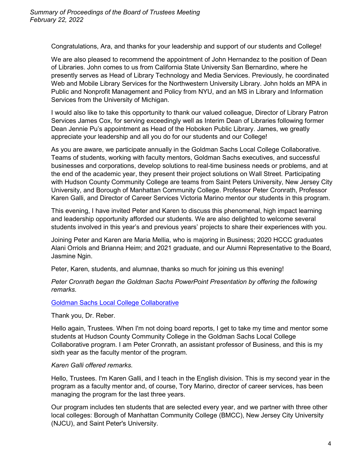Congratulations, Ara, and thanks for your leadership and support of our students and College!

We are also pleased to recommend the appointment of John Hernandez to the position of Dean of Libraries. John comes to us from California State University San Bernardino, where he presently serves as Head of Library Technology and Media Services. Previously, he coordinated Web and Mobile Library Services for the Northwestern University Library. John holds an MPA in Public and Nonprofit Management and Policy from NYU, and an MS in Library and Information Services from the University of Michigan.

I would also like to take this opportunity to thank our valued colleague, Director of Library Patron Services James Cox, for serving exceedingly well as Interim Dean of Libraries following former Dean Jennie Pu's appointment as Head of the Hoboken Public Library. James, we greatly appreciate your leadership and all you do for our students and our College!

As you are aware, we participate annually in the Goldman Sachs Local College Collaborative. Teams of students, working with faculty mentors, Goldman Sachs executives, and successful businesses and corporations, develop solutions to real-time business needs or problems, and at the end of the academic year, they present their project solutions on Wall Street. Participating with Hudson County Community College are teams from Saint Peters University, New Jersey City University, and Borough of Manhattan Community College. Professor Peter Cronrath, Professor Karen Galli, and Director of Career Services Victoria Marino mentor our students in this program.

This evening, I have invited Peter and Karen to discuss this phenomenal, high impact learning and leadership opportunity afforded our students. We are also delighted to welcome several students involved in this year's and previous years' projects to share their experiences with you.

Joining Peter and Karen are Maria Mellia, who is majoring in Business; 2020 HCCC graduates Alani Orriols and Brianna Heim; and 2021 graduate, and our Alumni Representative to the Board, Jasmine Ngin.

Peter, Karen, students, and alumnae, thanks so much for joining us this evening!

*Peter Cronrath began the Goldman Sachs PowerPoint Presentation by offering the following remarks.*

## [Goldman Sachs Local College Collaborative](https://www.hccc.edu/bot/goldman-sachs-pres-board-of-trustees-02222022.pdf)

Thank you, Dr. Reber.

Hello again, Trustees. When I'm not doing board reports, I get to take my time and mentor some students at Hudson County Community College in the Goldman Sachs Local College Collaborative program. I am Peter Cronrath, an assistant professor of Business, and this is my sixth year as the faculty mentor of the program.

## *Karen Galli offered remarks.*

Hello, Trustees. I'm Karen Galli, and I teach in the English division. This is my second year in the program as a faculty mentor and, of course, Tory Marino, director of career services, has been managing the program for the last three years.

Our program includes ten students that are selected every year, and we partner with three other local colleges: Borough of Manhattan Community College (BMCC), New Jersey City University (NJCU), and Saint Peter's University.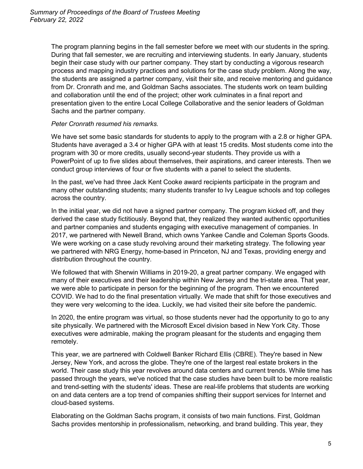The program planning begins in the fall semester before we meet with our students in the spring. During that fall semester, we are recruiting and interviewing students. In early January, students begin their case study with our partner company. They start by conducting a vigorous research process and mapping industry practices and solutions for the case study problem. Along the way, the students are assigned a partner company, visit their site, and receive mentoring and guidance from Dr. Cronrath and me, and Goldman Sachs associates. The students work on team building and collaboration until the end of the project; other work culminates in a final report and presentation given to the entire Local College Collaborative and the senior leaders of Goldman Sachs and the partner company.

## *Peter Cronrath resumed his remarks.*

We have set some basic standards for students to apply to the program with a 2.8 or higher GPA. Students have averaged a 3.4 or higher GPA with at least 15 credits. Most students come into the program with 30 or more credits, usually second-year students. They provide us with a PowerPoint of up to five slides about themselves, their aspirations, and career interests. Then we conduct group interviews of four or five students with a panel to select the students.

In the past, we've had three Jack Kent Cooke award recipients participate in the program and many other outstanding students; many students transfer to Ivy League schools and top colleges across the country.

In the initial year, we did not have a signed partner company. The program kicked off, and they derived the case study fictitiously. Beyond that, they realized they wanted authentic opportunities and partner companies and students engaging with executive management of companies. In 2017, we partnered with Newell Brand, which owns Yankee Candle and Coleman Sports Goods. We were working on a case study revolving around their marketing strategy. The following year we partnered with NRG Energy, home-based in Princeton, NJ and Texas, providing energy and distribution throughout the country.

We followed that with Sherwin Williams in 2019-20, a great partner company. We engaged with many of their executives and their leadership within New Jersey and the tri-state area. That year, we were able to participate in person for the beginning of the program. Then we encountered COVID. We had to do the final presentation virtually. We made that shift for those executives and they were very welcoming to the idea. Luckily, we had visited their site before the pandemic.

In 2020, the entire program was virtual, so those students never had the opportunity to go to any site physically. We partnered with the Microsoft Excel division based in New York City. Those executives were admirable, making the program pleasant for the students and engaging them remotely.

This year, we are partnered with Coldwell Banker Richard Ellis (CBRE). They're based in New Jersey, New York, and across the globe. They're one of the largest real estate brokers in the world. Their case study this year revolves around data centers and current trends. While time has passed through the years, we've noticed that the case studies have been built to be more realistic and trend-setting with the students' ideas. These are real-life problems that students are working on and data centers are a top trend of companies shifting their support services for Internet and cloud-based systems.

Elaborating on the Goldman Sachs program, it consists of two main functions. First, Goldman Sachs provides mentorship in professionalism, networking, and brand building. This year, they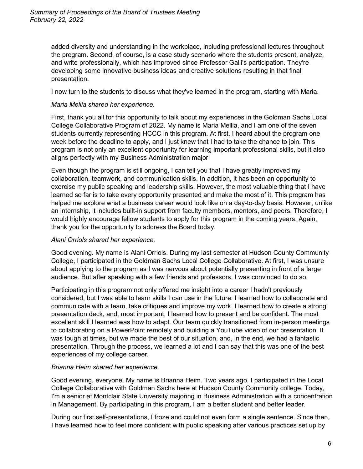added diversity and understanding in the workplace, including professional lectures throughout the program. Second, of course, is a case study scenario where the students present, analyze, and write professionally, which has improved since Professor Galli's participation. They're developing some innovative business ideas and creative solutions resulting in that final presentation.

I now turn to the students to discuss what they've learned in the program, starting with Maria.

#### *Maria Mellia shared her experience.*

First, thank you all for this opportunity to talk about my experiences in the Goldman Sachs Local College Collaborative Program of 2022. My name is Maria Mellia, and I am one of the seven students currently representing HCCC in this program. At first, I heard about the program one week before the deadline to apply, and I just knew that I had to take the chance to join. This program is not only an excellent opportunity for learning important professional skills, but it also aligns perfectly with my Business Administration major.

Even though the program is still ongoing, I can tell you that I have greatly improved my collaboration, teamwork, and communication skills. In addition, it has been an opportunity to exercise my public speaking and leadership skills. However, the most valuable thing that I have learned so far is to take every opportunity presented and make the most of it. This program has helped me explore what a business career would look like on a day-to-day basis. However, unlike an internship, it includes built-in support from faculty members, mentors, and peers. Therefore, I would highly encourage fellow students to apply for this program in the coming years. Again, thank you for the opportunity to address the Board today.

## *Alani Orriols shared her experience.*

Good evening. My name is Alani Orriols. During my last semester at Hudson County Community College, I participated in the Goldman Sachs Local College Collaborative. At first, I was unsure about applying to the program as I was nervous about potentially presenting in front of a large audience. But after speaking with a few friends and professors, I was convinced to do so.

Participating in this program not only offered me insight into a career I hadn't previously considered, but I was able to learn skills I can use in the future. I learned how to collaborate and communicate with a team, take critiques and improve my work. I learned how to create a strong presentation deck, and, most important, I learned how to present and be confident. The most excellent skill I learned was how to adapt. Our team quickly transitioned from in-person meetings to collaborating on a PowerPoint remotely and building a YouTube video of our presentation. It was tough at times, but we made the best of our situation, and, in the end, we had a fantastic presentation. Through the process, we learned a lot and I can say that this was one of the best experiences of my college career.

#### *Brianna Heim shared her experience*.

Good evening, everyone. My name is Brianna Heim. Two years ago, I participated in the Local College Collaborative with Goldman Sachs here at Hudson County Community college. Today, I'm a senior at Montclair State University majoring in Business Administration with a concentration in Management. By participating in this program, I am a better student and better leader.

During our first self-presentations, I froze and could not even form a single sentence. Since then, I have learned how to feel more confident with public speaking after various practices set up by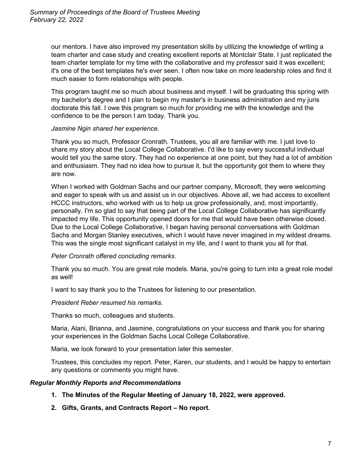our mentors. I have also improved my presentation skills by utilizing the knowledge of writing a team charter and case study and creating excellent reports at Montclair State. I just replicated the team charter template for my time with the collaborative and my professor said it was excellent; it's one of the best templates he's ever seen. I often now take on more leadership roles and find it much easier to form relationships with people.

This program taught me so much about business and myself. I will be graduating this spring with my bachelor's degree and I plan to begin my master's in business administration and my juris doctorate this fall. I owe this program so much for providing me with the knowledge and the confidence to be the person I am today. Thank you.

#### *Jasmine Ngin shared her experience.*

Thank you so much, Professor Cronrath. Trustees, you all are familiar with me. I just love to share my story about the Local College Collaborative. I'd like to say every successful individual would tell you the same story. They had no experience at one point, but they had a lot of ambition and enthusiasm. They had no idea how to pursue it, but the opportunity got them to where they are now.

When I worked with Goldman Sachs and our partner company, Microsoft, they were welcoming and eager to speak with us and assist us in our objectives. Above all, we had access to excellent HCCC instructors, who worked with us to help us grow professionally, and, most importantly, personally. I'm so glad to say that being part of the Local College Collaborative has significantly impacted my life. This opportunity opened doors for me that would have been otherwise closed. Due to the Local College Collaborative, I began having personal conversations with Goldman Sachs and Morgan Stanley executives, which I would have never imagined in my wildest dreams. This was the single most significant catalyst in my life, and I want to thank you all for that.

## *Peter Cronrath offered concluding remarks.*

Thank you so much. You are great role models. Maria, you're going to turn into a great role model as well!

I want to say thank you to the Trustees for listening to our presentation.

*President Reber resumed his remarks.*

Thanks so much, colleagues and students.

Maria, Alani, Brianna, and Jasmine, congratulations on your success and thank you for sharing your experiences in the Goldman Sachs Local College Collaborative.

Maria, we look forward to your presentation later this semester.

Trustees, this concludes my report. Peter, Karen, our students, and I would be happy to entertain any questions or comments you might have.

## *Regular Monthly Reports and Recommendations*

- **1. The Minutes of the Regular Meeting of January 18, 2022, were approved.**
- **2. Gifts, Grants, and Contracts Report – No report.**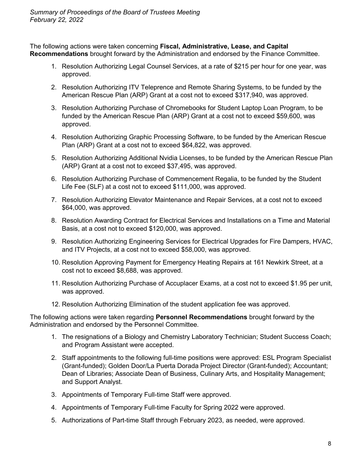The following actions were taken concerning **Fiscal, Administrative, Lease, and Capital Recommendations** brought forward by the Administration and endorsed by the Finance Committee.

- 1. Resolution Authorizing Legal Counsel Services, at a rate of \$215 per hour for one year, was approved.
- 2. Resolution Authorizing ITV Teleprence and Remote Sharing Systems, to be funded by the American Rescue Plan (ARP) Grant at a cost not to exceed \$317,940, was approved.
- 3. Resolution Authorizing Purchase of Chromebooks for Student Laptop Loan Program, to be funded by the American Rescue Plan (ARP) Grant at a cost not to exceed \$59,600, was approved.
- 4. Resolution Authorizing Graphic Processing Software, to be funded by the American Rescue Plan (ARP) Grant at a cost not to exceed \$64,822, was approved.
- 5. Resolution Authorizing Additional Nvidia Licenses, to be funded by the American Rescue Plan (ARP) Grant at a cost not to exceed \$37,495, was approved.
- 6. Resolution Authorizing Purchase of Commencement Regalia, to be funded by the Student Life Fee (SLF) at a cost not to exceed \$111,000, was approved.
- 7. Resolution Authorizing Elevator Maintenance and Repair Services, at a cost not to exceed \$64,000, was approved.
- 8. Resolution Awarding Contract for Electrical Services and Installations on a Time and Material Basis, at a cost not to exceed \$120,000, was approved.
- 9. Resolution Authorizing Engineering Services for Electrical Upgrades for Fire Dampers, HVAC, and ITV Projects, at a cost not to exceed \$58,000, was approved.
- 10. Resolution Approving Payment for Emergency Heating Repairs at 161 Newkirk Street, at a cost not to exceed \$8,688, was approved.
- 11. Resolution Authorizing Purchase of Accuplacer Exams, at a cost not to exceed \$1.95 per unit, was approved.
- 12. Resolution Authorizing Elimination of the student application fee was approved.

The following actions were taken regarding **Personnel Recommendations** brought forward by the Administration and endorsed by the Personnel Committee.

- 1. The resignations of a Biology and Chemistry Laboratory Technician; Student Success Coach; and Program Assistant were accepted.
- 2. Staff appointments to the following full-time positions were approved: ESL Program Specialist (Grant-funded); Golden Door/La Puerta Dorada Project Director (Grant-funded); Accountant; Dean of Libraries; Associate Dean of Business, Culinary Arts, and Hospitality Management; and Support Analyst.
- 3. Appointments of Temporary Full-time Staff were approved.
- 4. Appointments of Temporary Full-time Faculty for Spring 2022 were approved.
- 5. Authorizations of Part-time Staff through February 2023, as needed, were approved.